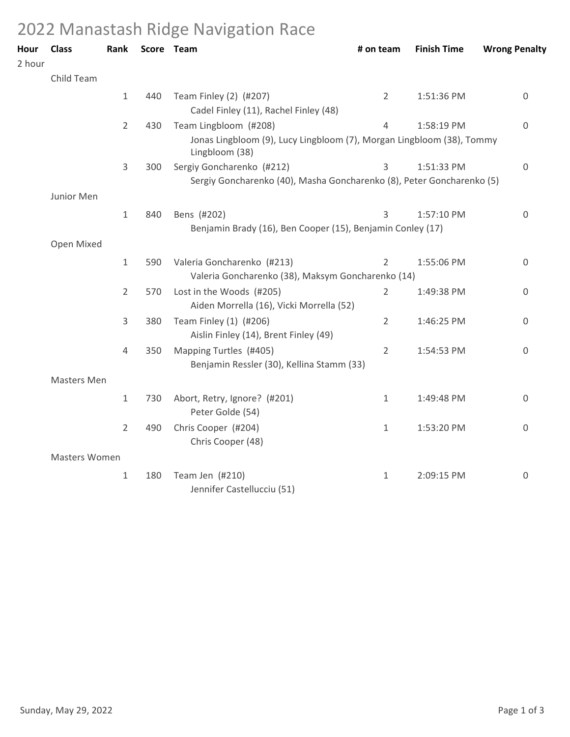## 2022 Manastash Ridge Navigation Race

| Hour<br>2 hour | <b>Class</b>  | Rank           |     | Score Team                                                                                                           | # on team      | <b>Finish Time</b> | <b>Wrong Penalty</b> |
|----------------|---------------|----------------|-----|----------------------------------------------------------------------------------------------------------------------|----------------|--------------------|----------------------|
|                | Child Team    |                |     |                                                                                                                      |                |                    |                      |
|                |               | $\mathbf{1}$   | 440 | Team Finley (2) (#207)<br>Cadel Finley (11), Rachel Finley (48)                                                      | $\overline{2}$ | 1:51:36 PM         | 0                    |
|                |               | $\overline{2}$ | 430 | Team Lingbloom (#208)<br>Jonas Lingbloom (9), Lucy Lingbloom (7), Morgan Lingbloom (38), Tommy                       | 4              | 1:58:19 PM         | $\Omega$             |
|                |               | $\overline{3}$ | 300 | Lingbloom (38)<br>Sergiy Goncharenko (#212)<br>Sergiy Goncharenko (40), Masha Goncharenko (8), Peter Goncharenko (5) | 3              | 1:51:33 PM         | $\mathsf 0$          |
|                | Junior Men    |                |     |                                                                                                                      |                |                    |                      |
|                |               | $\mathbf 1$    | 840 | Bens (#202)<br>Benjamin Brady (16), Ben Cooper (15), Benjamin Conley (17)                                            | 3              | 1:57:10 PM         | 0                    |
|                | Open Mixed    |                |     |                                                                                                                      |                |                    |                      |
|                |               | $\mathbf 1$    | 590 | Valeria Goncharenko (#213)<br>Valeria Goncharenko (38), Maksym Goncharenko (14)                                      | $\overline{2}$ | 1:55:06 PM         | 0                    |
|                |               | $\overline{2}$ | 570 | Lost in the Woods (#205)<br>Aiden Morrella (16), Vicki Morrella (52)                                                 | 2              | 1:49:38 PM         | 0                    |
|                |               | 3              | 380 | Team Finley (1) (#206)<br>Aislin Finley (14), Brent Finley (49)                                                      | $\overline{2}$ | 1:46:25 PM         | 0                    |
|                |               | 4              | 350 | Mapping Turtles (#405)<br>Benjamin Ressler (30), Kellina Stamm (33)                                                  | 2              | 1:54:53 PM         | $\mathbf 0$          |
|                | Masters Men   |                |     |                                                                                                                      |                |                    |                      |
|                |               | $\mathbf{1}$   | 730 | Abort, Retry, Ignore? (#201)<br>Peter Golde (54)                                                                     | 1              | 1:49:48 PM         | 0                    |
|                |               | $\overline{2}$ | 490 | Chris Cooper (#204)<br>Chris Cooper (48)                                                                             | $\mathbf{1}$   | 1:53:20 PM         | 0                    |
|                | Masters Women |                |     |                                                                                                                      |                |                    |                      |
|                |               | $\mathbf{1}$   | 180 | Team Jen (#210)<br>Jennifer Castellucciu (51)                                                                        | 1              | 2:09:15 PM         | 0                    |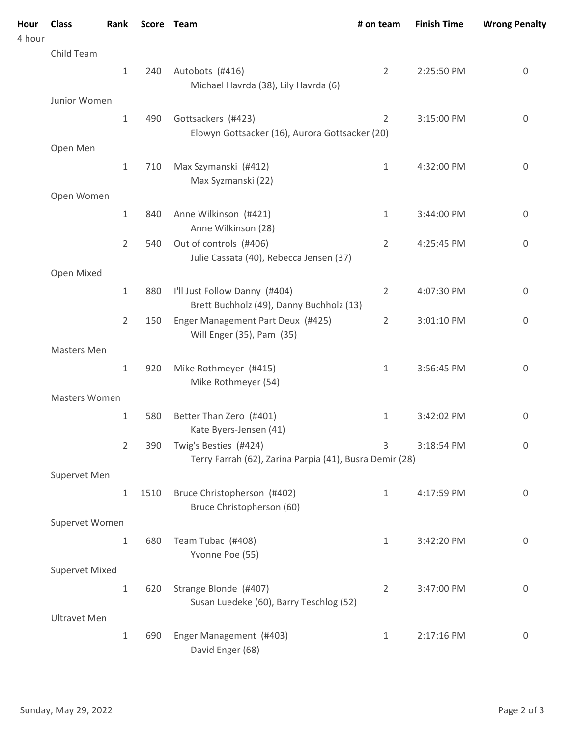| Hour<br>4 hour | <b>Class</b>          | Rank           |      | Score Team                                                                       | # on team      | <b>Finish Time</b> | <b>Wrong Penalty</b> |
|----------------|-----------------------|----------------|------|----------------------------------------------------------------------------------|----------------|--------------------|----------------------|
|                | Child Team            |                |      |                                                                                  |                |                    |                      |
|                |                       | $\mathbf{1}$   | 240  | Autobots (#416)                                                                  | $\overline{2}$ | 2:25:50 PM         | 0                    |
|                |                       |                |      | Michael Havrda (38), Lily Havrda (6)                                             |                |                    |                      |
|                | Junior Women          |                |      |                                                                                  |                |                    |                      |
|                |                       | $\mathbf{1}$   | 490  | Gottsackers (#423)<br>Elowyn Gottsacker (16), Aurora Gottsacker (20)             | $\overline{2}$ | 3:15:00 PM         | $\boldsymbol{0}$     |
|                | Open Men              |                |      |                                                                                  |                |                    |                      |
|                |                       | $\mathbf{1}$   | 710  | Max Szymanski (#412)<br>Max Syzmanski (22)                                       | 1              | 4:32:00 PM         | 0                    |
|                | Open Women            |                |      |                                                                                  |                |                    |                      |
|                |                       | $\mathbf{1}$   | 840  | Anne Wilkinson (#421)<br>Anne Wilkinson (28)                                     | $\mathbf{1}$   | 3:44:00 PM         | $\boldsymbol{0}$     |
|                |                       | $\overline{2}$ | 540  | Out of controls (#406)<br>Julie Cassata (40), Rebecca Jensen (37)                | $\overline{2}$ | 4:25:45 PM         | 0                    |
|                | Open Mixed            |                |      |                                                                                  |                |                    |                      |
|                |                       | $\mathbf{1}$   | 880  | I'll Just Follow Danny (#404)<br>Brett Buchholz (49), Danny Buchholz (13)        | $\overline{2}$ | 4:07:30 PM         | 0                    |
|                |                       | $\overline{2}$ | 150  | Enger Management Part Deux (#425)<br>Will Enger (35), Pam (35)                   | $\overline{2}$ | 3:01:10 PM         | $\boldsymbol{0}$     |
|                | Masters Men           |                |      |                                                                                  |                |                    |                      |
|                |                       | $\mathbf{1}$   | 920  | Mike Rothmeyer (#415)<br>Mike Rothmeyer (54)                                     | 1              | 3:56:45 PM         | 0                    |
|                | Masters Women         |                |      |                                                                                  |                |                    |                      |
|                |                       | 1              | 580  | Better Than Zero (#401)<br>Kate Byers-Jensen (41)                                | 1              | 3:42:02 PM         | 0                    |
|                |                       | $\overline{2}$ | 390  | Twig's Besties (#424)<br>Terry Farrah (62), Zarina Parpia (41), Busra Demir (28) | 3              | 3:18:54 PM         | 0                    |
|                | Supervet Men          |                |      |                                                                                  |                |                    |                      |
|                |                       | $\mathbf{1}$   | 1510 | Bruce Christopherson (#402)<br>Bruce Christopherson (60)                         | $\mathbf{1}$   | 4:17:59 PM         | $\mathbf 0$          |
|                | Supervet Women        |                |      |                                                                                  |                |                    |                      |
|                |                       | 1              | 680  | Team Tubac (#408)<br>Yvonne Poe (55)                                             | 1              | 3:42:20 PM         | 0                    |
|                | <b>Supervet Mixed</b> |                |      |                                                                                  |                |                    |                      |
|                |                       | $\mathbf 1$    | 620  | Strange Blonde (#407)<br>Susan Luedeke (60), Barry Teschlog (52)                 | 2              | 3:47:00 PM         | $\boldsymbol{0}$     |
|                | <b>Ultravet Men</b>   |                |      |                                                                                  |                |                    |                      |
|                |                       | $\mathbf{1}$   | 690  | Enger Management (#403)<br>David Enger (68)                                      | 1              | 2:17:16 PM         | $\boldsymbol{0}$     |